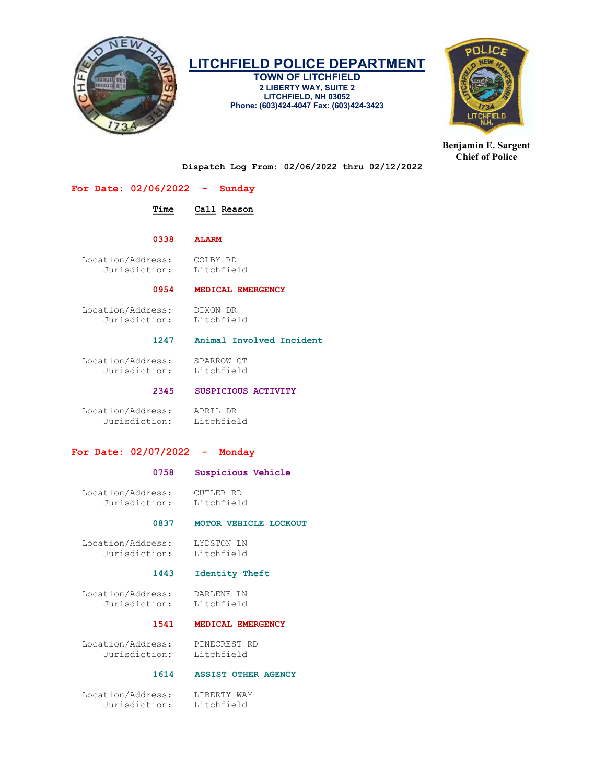

# LITCHFIELD POLICE DEPARTMENT

TOWN OF LITCHFIELD 2 LIBERTY WAY, SUITE 2 LITCHFIELD, NH 03052 Phone: (603)424-4047 Fax: (603)424-3423



Benjamin E. Sargent Chief of Police

Dispatch Log From: 02/06/2022 thru 02/12/2022

| For Date: $02/06/2022 -$ Sunday                           |                            |
|-----------------------------------------------------------|----------------------------|
| Time                                                      | Call Reason                |
| 0338                                                      | <b>ALARM</b>               |
| Location/Address:<br>Jurisdiction:                        | COLBY RD<br>Litchfield     |
| 0954                                                      | MEDICAL EMERGENCY          |
| Location/Address:<br>Jurisdiction:                        | DIXON DR<br>Litchfield     |
| 1247                                                      | Animal Involved Incident   |
| Location/Address:<br>Jurisdiction:                        | SPARROW CT<br>Litchfield   |
| 2345                                                      | SUSPICIOUS ACTIVITY        |
| Location/Address: APRIL DR<br>Jurisdiction: Litchfield    |                            |
| For Date: $02/07/2022 -$ Monday                           |                            |
| 0758                                                      | Suspicious Vehicle         |
| Location/Address:<br>Jurisdiction:                        | CUTLER RD<br>Litchfield    |
| 0837                                                      | MOTOR VEHICLE LOCKOUT      |
| Location/Address:<br>Jurisdiction:                        | LYDSTON LN<br>Litchfield   |
| 1443                                                      | Identity Theft             |
| Location/Address:<br>Jurisdiction:                        | DARLENE LN<br>Litchfield   |
| 1541                                                      | MEDICAL EMERGENCY          |
| Location/Address:<br>Jurisdiction:                        | PINECREST RD<br>Litchfield |
| 1614                                                      | <b>ASSIST OTHER AGENCY</b> |
| Location/Address: LIBERTY WAY<br>Jurisdiction: Litchfield |                            |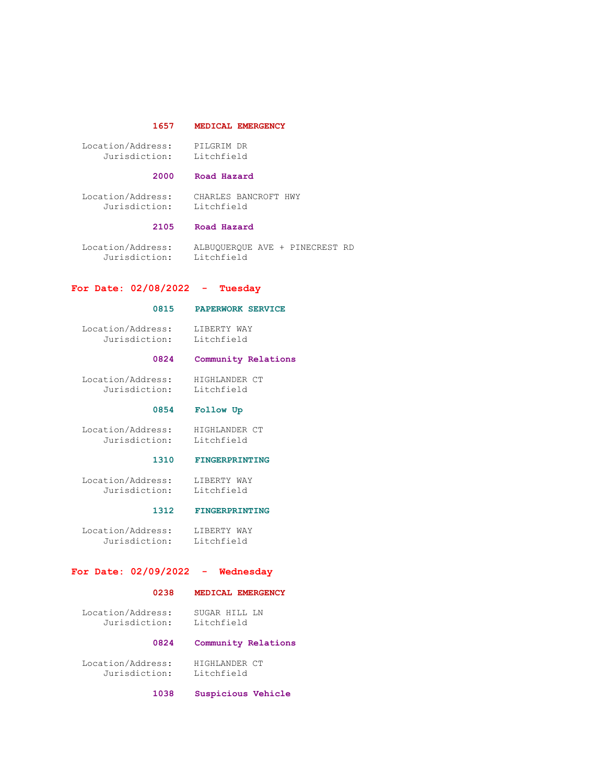#### 1657 MEDICAL EMERGENCY

| Location/Address: | PILGRIM DR |
|-------------------|------------|
| Jurisdiction:     | Litchfield |

#### 2000 Road Hazard

 Location/Address: CHARLES BANCROFT HWY Jurisdiction: Litchfield

#### 2105 Road Hazard

 Location/Address: ALBUQUERQUE AVE + PINECREST RD Jurisdiction: Litchfield

#### For Date: 02/08/2022 - Tuesday

#### 0815 PAPERWORK SERVICE

 Location/Address: LIBERTY WAY Jurisdiction: Litchfield

### 0824 Community Relations

Location/Address: HIGHLANDER CT<br>Jurisdiction: Litchfield Jurisdiction:

#### 0854 Follow Up

Location/Address: HIGHLANDER CT<br>Jurisdiction: Litchfield Jurisdiction:

#### 1310 FINGERPRINTING

Location/Address: LIBERTY WAY<br>Jurisdiction: Litchfield Jurisdiction:

#### 1312 FINGERPRINTING

 Location/Address: LIBERTY WAY Jurisdiction: Litchfield

#### For Date: 02/09/2022 - Wednesday

#### 0238 MEDICAL EMERGENCY

 Location/Address: SUGAR HILL LN Jurisdiction: Litchfield

#### 0824 Community Relations

Location/Address: HIGHLANDER CT<br>Jurisdiction: Litchfield Jurisdiction:

1038 Suspicious Vehicle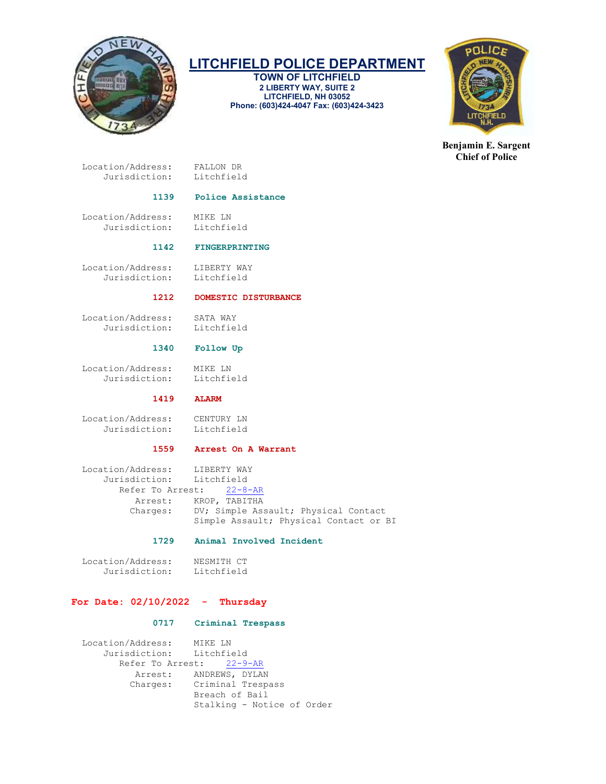

## LITCHFIELD POLICE DEPARTMENT

TOWN OF LITCHFIELD 2 LIBERTY WAY, SUITE 2 LITCHFIELD, NH 03052 Phone: (603)424-4047 Fax: (603)424-3423



Benjamin E. Sargent Chief of Police

 Location/Address: FALLON DR Jurisdiction: Litchfield

#### 1139 Police Assistance

Location/Address: MIKE LN<br>Jurisdiction: Litchfield Jurisdiction:

#### 1142 FINGERPRINTING

Location/Address: LIBERTY WAY<br>Jurisdiction: Litchfield Jurisdiction:

#### 1212 DOMESTIC DISTURBANCE

 Location/Address: SATA WAY Jurisdiction: Litchfield

#### 1340 Follow Up

 Location/Address: MIKE LN Jurisdiction: Litchfield

#### 1419 ALARM

Location/Address: CENTURY LN<br>Jurisdiction: Litchfield Jurisdiction:

#### 1559 Arrest On A Warrant

 Location/Address: LIBERTY WAY Jurisdiction: Litchfield Refer To Arrest: 22-8-AR Arrest: KROP, TABITHA Charges: DV; Simple Assault; Physical Contact Simple Assault; Physical Contact or BI

#### 1729 Animal Involved Incident

Location/Address: NESMITH CT<br>Jurisdiction: Litchfield Jurisdiction:

#### For Date:  $02/10/2022 -$  Thursday

#### 0717 Criminal Trespass

 Location/Address: MIKE LN Jurisdiction: Refer To Arrest: 22-9-AR Arrest: ANDREWS, DYLAN Charges: Criminal Trespass Breach of Bail Stalking - Notice of Order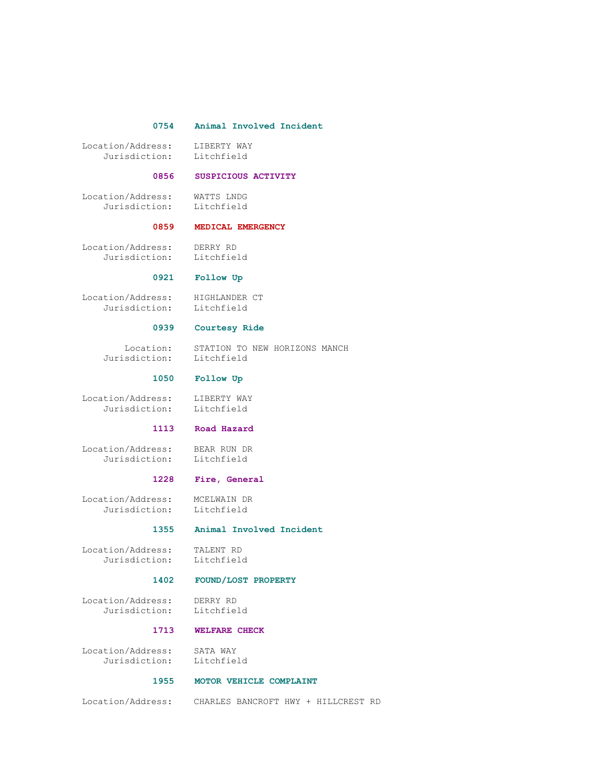#### 0754 Animal Involved Incident

Location/Address: LIBERTY WAY<br>Jurisdiction: Litchfield Jurisdiction:

#### 0856 SUSPICIOUS ACTIVITY

 Location/Address: WATTS LNDG Jurisdiction: Litchfield

#### 0859 MEDICAL EMERGENCY

 Location/Address: DERRY RD Jurisdiction:

#### 0921 Follow Up

 Location/Address: HIGHLANDER CT Jurisdiction: Litchfield

#### 0939 Courtesy Ride

Location: STATION TO NEW HORIZONS MANCH<br>isdiction: Litchfield Jurisdiction:

#### 1050 Follow Up

 Location/Address: LIBERTY WAY Jurisdiction: Litchfield

#### 1113 Road Hazard

 Location/Address: BEAR RUN DR Jurisdiction:

#### 1228 Fire, General

 Location/Address: MCELWAIN DR Jurisdiction: Litchfield

#### 1355 Animal Involved Incident

 Location/Address: TALENT RD Jurisdiction:

#### 1402 FOUND/LOST PROPERTY

 Location/Address: DERRY RD Jurisdiction:

#### 1713 WELFARE CHECK

 Location/Address: SATA WAY Jurisdiction: Litchfield

#### 1955 MOTOR VEHICLE COMPLAINT

Location/Address: CHARLES BANCROFT HWY + HILLCREST RD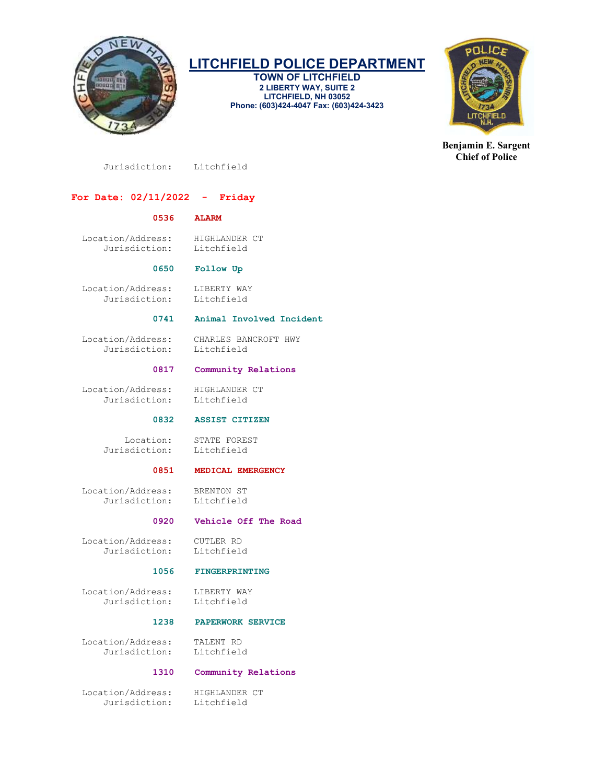

### LITCHFIELD POLICE DEPARTMENT

TOWN OF LITCHFIELD 2 LIBERTY WAY, SUITE 2 LITCHFIELD, NH 03052 Phone: (603)424-4047 Fax: (603)424-3423



Benjamin E. Sargent Chief of Police

Jurisdiction: Litchfield

### For Date: 02/11/2022 - Friday

#### 0536 ALARM

 Location/Address: HIGHLANDER CT Jurisdiction: Litchfield

#### 0650 Follow Up

Location/Address: LIBERTY WAY<br>Jurisdiction: Litchfield Jurisdiction:

#### 0741 Animal Involved Incident

 Location/Address: CHARLES BANCROFT HWY Jurisdiction:

#### 0817 Community Relations

 Location/Address: HIGHLANDER CT Jurisdiction: Litchfield

0832 ASSIST CITIZEN

Location: STATE FOREST<br>sdiction: Litchfield Jurisdiction:

#### 0851 MEDICAL EMERGENCY

 Location/Address: BRENTON ST Jurisdiction:

#### 0920 Vehicle Off The Road

 Location/Address: CUTLER RD Jurisdiction: Litchfield

#### 1056 FINGERPRINTING

Location/Address: LIBERTY WAY<br>Jurisdiction: Litchfield Jurisdiction:

#### 1238 PAPERWORK SERVICE

 Location/Address: TALENT RD Jurisdiction:

#### 1310 Community Relations

 Location/Address: HIGHLANDER CT Jurisdiction: Litchfield